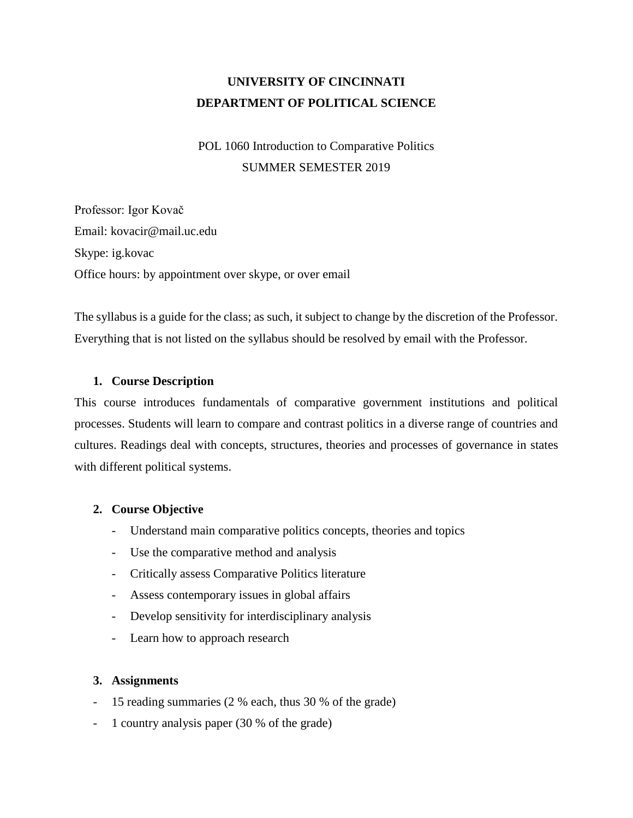# **UNIVERSITY OF CINCINNATI DEPARTMENT OF POLITICAL SCIENCE**

# POL 1060 Introduction to Comparative Politics SUMMER SEMESTER 2019

Professor: Igor Kovač Email: kovacir@mail.uc.edu Skype: ig.kovac Office hours: by appointment over skype, or over email

The syllabus is a guide for the class; as such, it subject to change by the discretion of the Professor. Everything that is not listed on the syllabus should be resolved by email with the Professor.

### **1. Course Description**

This course introduces fundamentals of comparative government institutions and political processes. Students will learn to compare and contrast politics in a diverse range of countries and cultures. Readings deal with concepts, structures, theories and processes of governance in states with different political systems.

### **2. Course Objective**

- Understand main comparative politics concepts, theories and topics
- Use the comparative method and analysis
- Critically assess Comparative Politics literature
- Assess contemporary issues in global affairs
- Develop sensitivity for interdisciplinary analysis
- Learn how to approach research

### **3. Assignments**

- 15 reading summaries (2 % each, thus 30 % of the grade)
- 1 country analysis paper (30 % of the grade)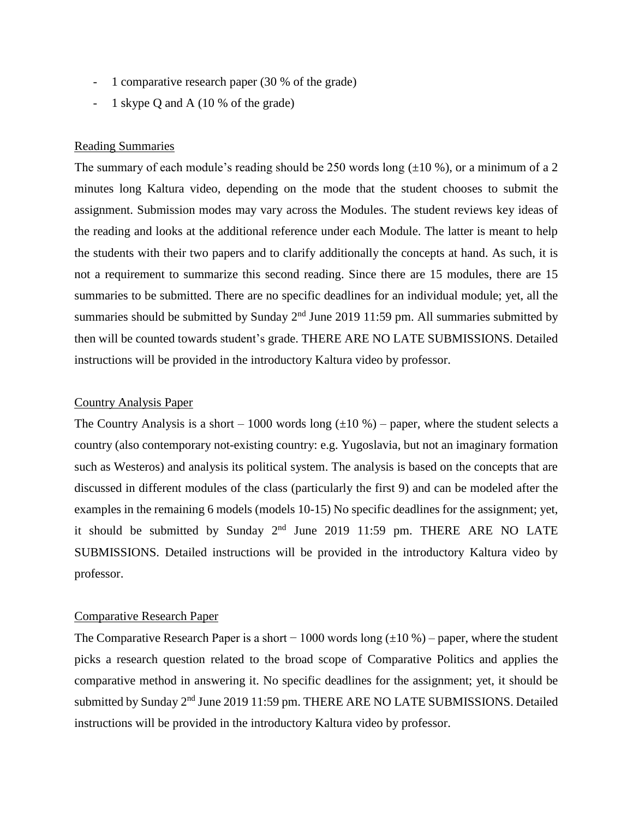- 1 comparative research paper (30 % of the grade)
- 1 skype Q and A (10 % of the grade)

#### Reading Summaries

The summary of each module's reading should be 250 words long  $(\pm 10\%)$ , or a minimum of a 2 minutes long Kaltura video, depending on the mode that the student chooses to submit the assignment. Submission modes may vary across the Modules. The student reviews key ideas of the reading and looks at the additional reference under each Module. The latter is meant to help the students with their two papers and to clarify additionally the concepts at hand. As such, it is not a requirement to summarize this second reading. Since there are 15 modules, there are 15 summaries to be submitted. There are no specific deadlines for an individual module; yet, all the summaries should be submitted by Sunday  $2<sup>nd</sup>$  June 2019 11:59 pm. All summaries submitted by then will be counted towards student's grade. THERE ARE NO LATE SUBMISSIONS. Detailed instructions will be provided in the introductory Kaltura video by professor.

#### Country Analysis Paper

The Country Analysis is a short – 1000 words long  $(\pm 10\%)$  – paper, where the student selects a country (also contemporary not-existing country: e.g. Yugoslavia, but not an imaginary formation such as Westeros) and analysis its political system. The analysis is based on the concepts that are discussed in different modules of the class (particularly the first 9) and can be modeled after the examples in the remaining 6 models (models 10-15) No specific deadlines for the assignment; yet, it should be submitted by Sunday  $2<sup>nd</sup>$  June 2019 11:59 pm. THERE ARE NO LATE SUBMISSIONS. Detailed instructions will be provided in the introductory Kaltura video by professor.

#### Comparative Research Paper

The Comparative Research Paper is a short – 1000 words long  $(\pm 10\%)$  – paper, where the student picks a research question related to the broad scope of Comparative Politics and applies the comparative method in answering it. No specific deadlines for the assignment; yet, it should be submitted by Sunday 2<sup>nd</sup> June 2019 11:59 pm. THERE ARE NO LATE SUBMISSIONS. Detailed instructions will be provided in the introductory Kaltura video by professor.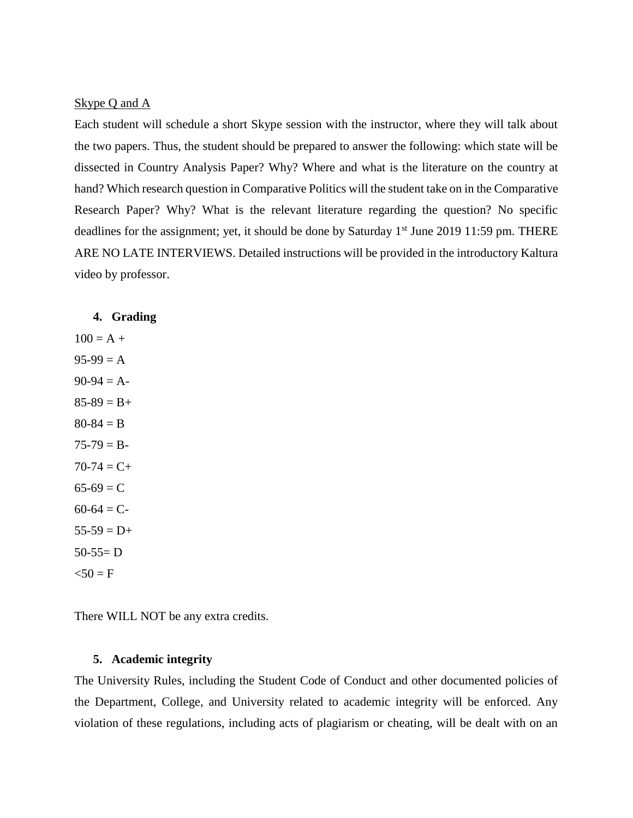#### Skype Q and A

Each student will schedule a short Skype session with the instructor, where they will talk about the two papers. Thus, the student should be prepared to answer the following: which state will be dissected in Country Analysis Paper? Why? Where and what is the literature on the country at hand? Which research question in Comparative Politics will the student take on in the Comparative Research Paper? Why? What is the relevant literature regarding the question? No specific deadlines for the assignment; yet, it should be done by Saturday 1<sup>st</sup> June 2019 11:59 pm. THERE ARE NO LATE INTERVIEWS. Detailed instructions will be provided in the introductory Kaltura video by professor.

#### **4. Grading**

 $100 = A +$  $95-99 = A$  $90-94 = A$  $85-89 = B+$  $80 - 84 = B$  $75-79 = B 70-74 = C+$  $65-69 = C$  $60-64 = C$  $55-59 = D+$  $50-55=D$  $< 50 = F$ 

There WILL NOT be any extra credits.

#### **5. Academic integrity**

The University Rules, including the Student Code of Conduct and other documented policies of the Department, College, and University related to academic integrity will be enforced. Any violation of these regulations, including acts of plagiarism or cheating, will be dealt with on an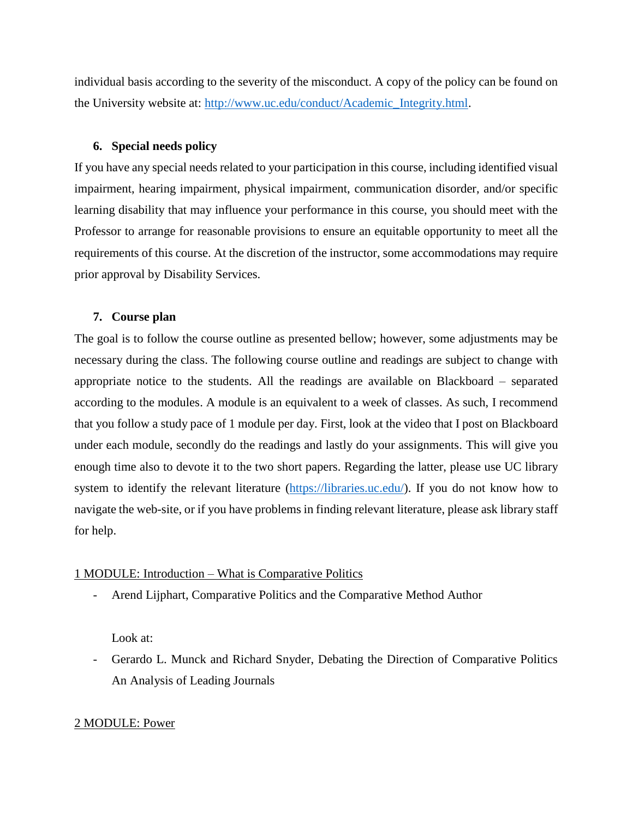individual basis according to the severity of the misconduct. A copy of the policy can be found on the University website at: [http://www.uc.edu/conduct/Academic\\_Integrity.html.](http://www.uc.edu/conduct/Academic_Integrity.html)

#### **6. Special needs policy**

If you have any special needs related to your participation in this course, including identified visual impairment, hearing impairment, physical impairment, communication disorder, and/or specific learning disability that may influence your performance in this course, you should meet with the Professor to arrange for reasonable provisions to ensure an equitable opportunity to meet all the requirements of this course. At the discretion of the instructor, some accommodations may require prior approval by Disability Services.

#### **7. Course plan**

The goal is to follow the course outline as presented bellow; however, some adjustments may be necessary during the class. The following course outline and readings are subject to change with appropriate notice to the students. All the readings are available on Blackboard – separated according to the modules. A module is an equivalent to a week of classes. As such, I recommend that you follow a study pace of 1 module per day. First, look at the video that I post on Blackboard under each module, secondly do the readings and lastly do your assignments. This will give you enough time also to devote it to the two short papers. Regarding the latter, please use UC library system to identify the relevant literature [\(https://libraries.uc.edu/\)](https://libraries.uc.edu/). If you do not know how to navigate the web-site, or if you have problems in finding relevant literature, please ask library staff for help.

### 1 MODULE: Introduction – What is Comparative Politics

- Arend Lijphart, Comparative Politics and the Comparative Method Author

Look at:

- Gerardo L. Munck and Richard Snyder, Debating the Direction of Comparative Politics An Analysis of Leading Journals

#### 2 MODULE: Power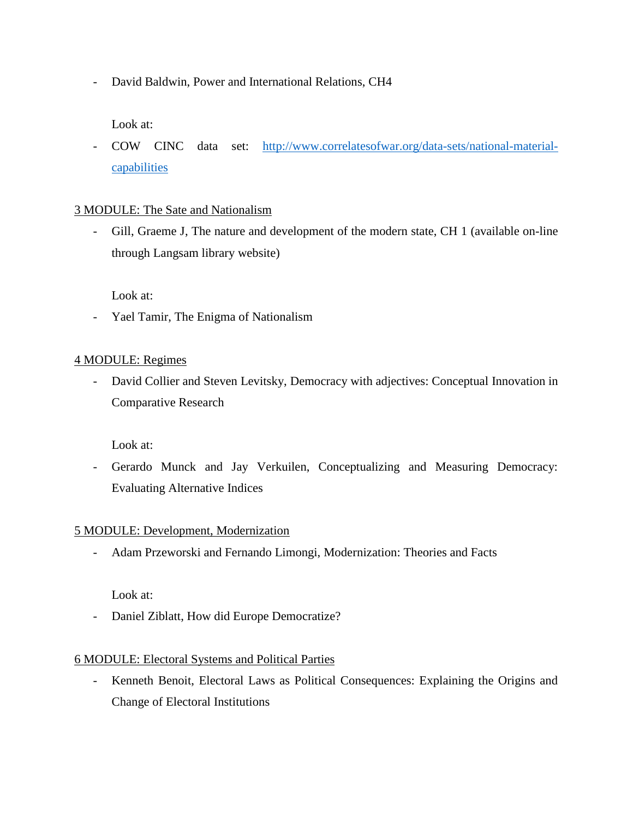- David Baldwin, Power and International Relations, CH4

Look at:

- COW CINC data set: [http://www.correlatesofwar.org/data-sets/national-material](http://www.correlatesofwar.org/data-sets/national-material-capabilities)[capabilities](http://www.correlatesofwar.org/data-sets/national-material-capabilities)

# 3 MODULE: The Sate and Nationalism

- Gill, Graeme J, The nature and development of the modern state, CH 1 (available on-line through Langsam library website)

Look at:

- Yael Tamir, The Enigma of Nationalism

# 4 MODULE: Regimes

- David Collier and Steven Levitsky, Democracy with adjectives: Conceptual Innovation in Comparative Research

Look at:

- Gerardo Munck and Jay Verkuilen, Conceptualizing and Measuring Democracy: Evaluating Alternative Indices

# 5 MODULE: Development, Modernization

- Adam Przeworski and Fernando Limongi, Modernization: Theories and Facts

Look at:

- Daniel Ziblatt, How did Europe Democratize?

# 6 MODULE: Electoral Systems and Political Parties

- Kenneth Benoit, Electoral Laws as Political Consequences: Explaining the Origins and Change of Electoral Institutions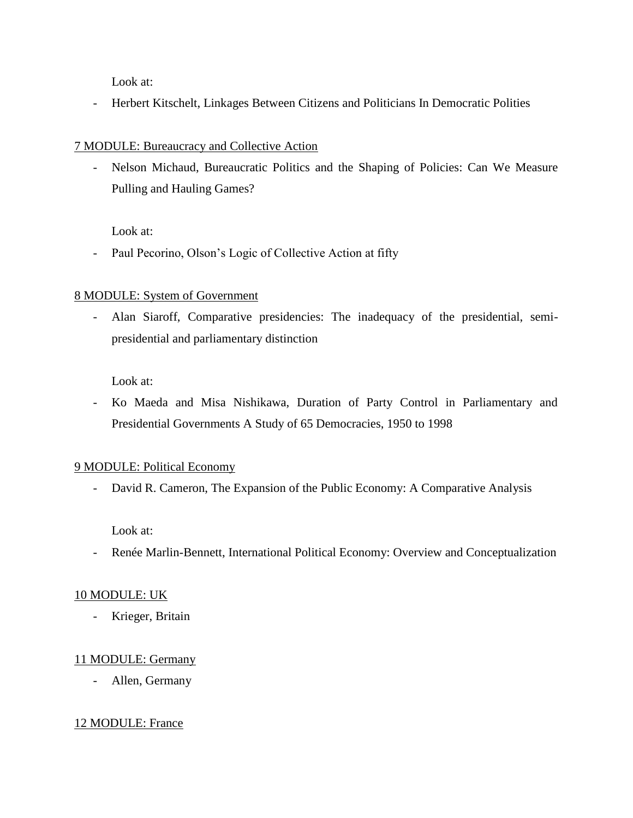Look at:

- Herbert Kitschelt, Linkages Between Citizens and Politicians In Democratic Polities

### 7 MODULE: Bureaucracy and Collective Action

- Nelson Michaud, Bureaucratic Politics and the Shaping of Policies: Can We Measure Pulling and Hauling Games?

Look at:

- Paul Pecorino, Olson's Logic of Collective Action at fifty

# 8 MODULE: System of Government

- Alan Siaroff, Comparative presidencies: The inadequacy of the presidential, semipresidential and parliamentary distinction

Look at:

- Ko Maeda and Misa Nishikawa, Duration of Party Control in Parliamentary and Presidential Governments A Study of 65 Democracies, 1950 to 1998

### 9 MODULE: Political Economy

- David R. Cameron, The Expansion of the Public Economy: A Comparative Analysis

Look at:

- Renée Marlin-Bennett, International Political Economy: Overview and Conceptualization

### 10 MODULE: UK

- Krieger, Britain

# 11 MODULE: Germany

- Allen, Germany

# 12 MODULE: France